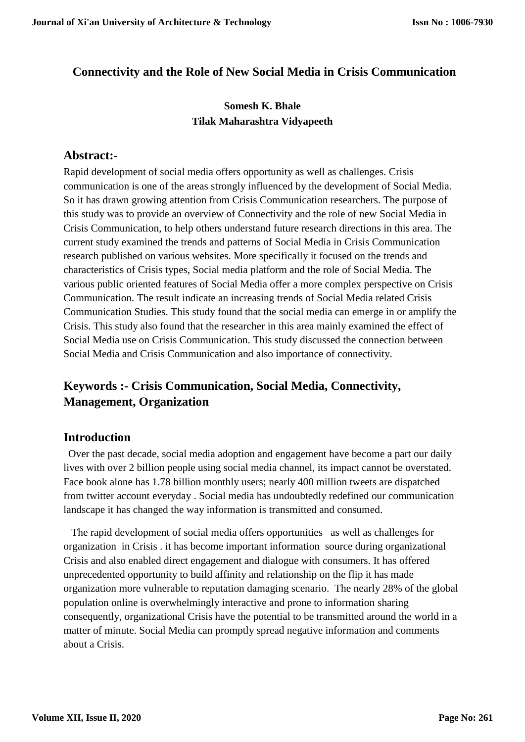## **Connectivity and the Role of New Social Media in Crisis Communication**

## **Somesh K. Bhale Tilak Maharashtra Vidyapeeth**

#### **Abstract:-**

Rapid development of social media offers opportunity as well as challenges. Crisis communication is one of the areas strongly influenced by the development of Social Media. So it has drawn growing attention from Crisis Communication researchers. The purpose of this study was to provide an overview of Connectivity and the role of new Social Media in Crisis Communication, to help others understand future research directions in this area. The current study examined the trends and patterns of Social Media in Crisis Communication research published on various websites. More specifically it focused on the trends and characteristics of Crisis types, Social media platform and the role of Social Media. The various public oriented features of Social Media offer a more complex perspective on Crisis Communication. The result indicate an increasing trends of Social Media related Crisis Communication Studies. This study found that the social media can emerge in or amplify the Crisis. This study also found that the researcher in this area mainly examined the effect of Social Media use on Crisis Communication. This study discussed the connection between Social Media and Crisis Communication and also importance of connectivity.

# **Keywords :- Crisis Communication, Social Media, Connectivity, Management, Organization**

#### **Introduction**

 Over the past decade, social media adoption and engagement have become a part our daily lives with over 2 billion people using social media channel, its impact cannot be overstated. Face book alone has 1.78 billion monthly users; nearly 400 million tweets are dispatched from twitter account everyday . Social media has undoubtedly redefined our communication landscape it has changed the way information is transmitted and consumed.

 The rapid development of social media offers opportunities as well as challenges for organization in Crisis . it has become important information source during organizational Crisis and also enabled direct engagement and dialogue with consumers. It has offered unprecedented opportunity to build affinity and relationship on the flip it has made organization more vulnerable to reputation damaging scenario. The nearly 28% of the global population online is overwhelmingly interactive and prone to information sharing consequently, organizational Crisis have the potential to be transmitted around the world in a matter of minute. Social Media can promptly spread negative information and comments about a Crisis.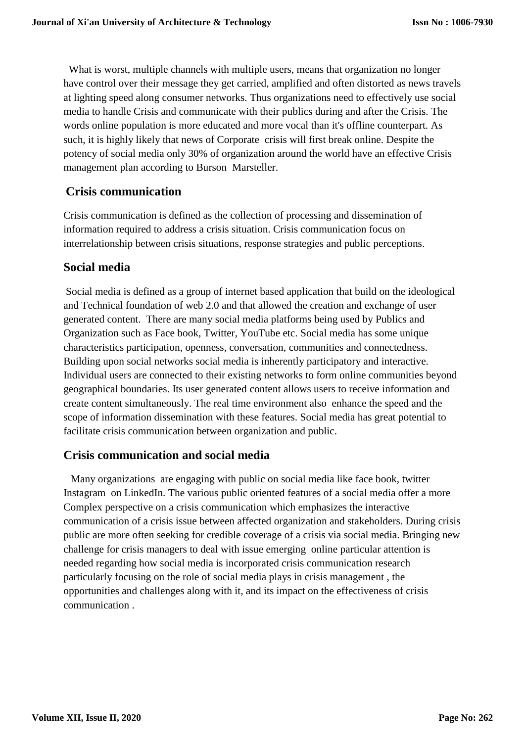What is worst, multiple channels with multiple users, means that organization no longer have control over their message they get carried, amplified and often distorted as news travels at lighting speed along consumer networks. Thus organizations need to effectively use social media to handle Crisis and communicate with their publics during and after the Crisis. The words online population is more educated and more vocal than it's offline counterpart. As such, it is highly likely that news of Corporate crisis will first break online. Despite the potency of social media only 30% of organization around the world have an effective Crisis management plan according to Burson Marsteller.

## **Crisis communication**

Crisis communication is defined as the collection of processing and dissemination of information required to address a crisis situation. Crisis communication focus on interrelationship between crisis situations, response strategies and public perceptions.

### **Social media**

Social media is defined as a group of internet based application that build on the ideological and Technical foundation of web 2.0 and that allowed the creation and exchange of user generated content. There are many social media platforms being used by Publics and Organization such as Face book, Twitter, YouTube etc. Social media has some unique characteristics participation, openness, conversation, communities and connectedness. Building upon social networks social media is inherently participatory and interactive. Individual users are connected to their existing networks to form online communities beyond geographical boundaries. Its user generated content allows users to receive information and create content simultaneously. The real time environment also enhance the speed and the scope of information dissemination with these features. Social media has great potential to facilitate crisis communication between organization and public.

#### **Crisis communication and social media**

 Many organizations are engaging with public on social media like face book, twitter Instagram on LinkedIn. The various public oriented features of a social media offer a more Complex perspective on a crisis communication which emphasizes the interactive communication of a crisis issue between affected organization and stakeholders. During crisis public are more often seeking for credible coverage of a crisis via social media. Bringing new challenge for crisis managers to deal with issue emerging online particular attention is needed regarding how social media is incorporated crisis communication research particularly focusing on the role of social media plays in crisis management , the opportunities and challenges along with it, and its impact on the effectiveness of crisis communication .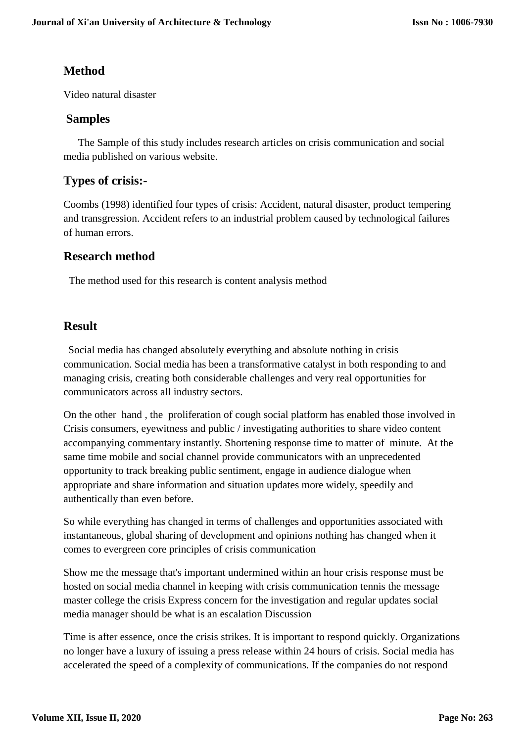## **Method**

Video natural disaster

#### **Samples**

 The Sample of this study includes research articles on crisis communication and social media published on various website.

## **Types of crisis:-**

Coombs (1998) identified four types of crisis: Accident, natural disaster, product tempering and transgression. Accident refers to an industrial problem caused by technological failures of human errors.

#### **Research method**

The method used for this research is content analysis method

#### **Result**

 Social media has changed absolutely everything and absolute nothing in crisis communication. Social media has been a transformative catalyst in both responding to and managing crisis, creating both considerable challenges and very real opportunities for communicators across all industry sectors.

On the other hand , the proliferation of cough social platform has enabled those involved in Crisis consumers, eyewitness and public / investigating authorities to share video content accompanying commentary instantly. Shortening response time to matter of minute. At the same time mobile and social channel provide communicators with an unprecedented opportunity to track breaking public sentiment, engage in audience dialogue when appropriate and share information and situation updates more widely, speedily and authentically than even before.

So while everything has changed in terms of challenges and opportunities associated with instantaneous, global sharing of development and opinions nothing has changed when it comes to evergreen core principles of crisis communication

Show me the message that's important undermined within an hour crisis response must be hosted on social media channel in keeping with crisis communication tennis the message master college the crisis Express concern for the investigation and regular updates social media manager should be what is an escalation Discussion

Time is after essence, once the crisis strikes. It is important to respond quickly. Organizations no longer have a luxury of issuing a press release within 24 hours of crisis. Social media has accelerated the speed of a complexity of communications. If the companies do not respond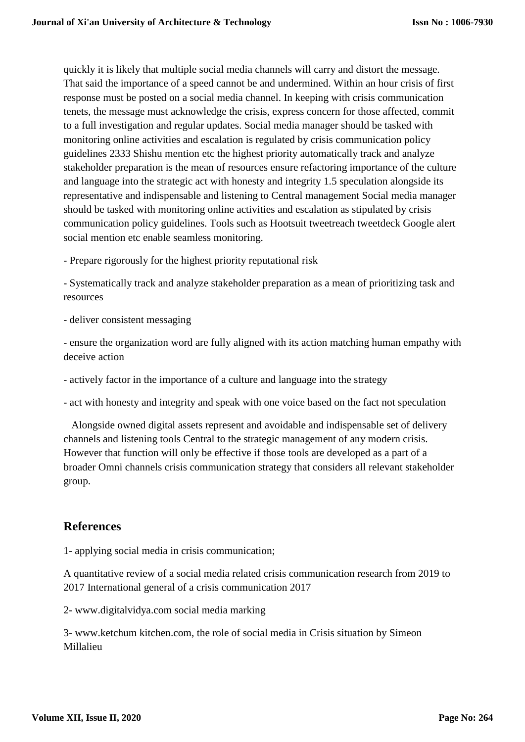quickly it is likely that multiple social media channels will carry and distort the message. That said the importance of a speed cannot be and undermined. Within an hour crisis of first response must be posted on a social media channel. In keeping with crisis communication tenets, the message must acknowledge the crisis, express concern for those affected, commit to a full investigation and regular updates. Social media manager should be tasked with monitoring online activities and escalation is regulated by crisis communication policy guidelines 2333 Shishu mention etc the highest priority automatically track and analyze stakeholder preparation is the mean of resources ensure refactoring importance of the culture and language into the strategic act with honesty and integrity 1.5 speculation alongside its representative and indispensable and listening to Central management Social media manager should be tasked with monitoring online activities and escalation as stipulated by crisis communication policy guidelines. Tools such as Hootsuit tweetreach tweetdeck Google alert social mention etc enable seamless monitoring.

- Prepare rigorously for the highest priority reputational risk

- Systematically track and analyze stakeholder preparation as a mean of prioritizing task and resources

- deliver consistent messaging

- ensure the organization word are fully aligned with its action matching human empathy with deceive action

- actively factor in the importance of a culture and language into the strategy

- act with honesty and integrity and speak with one voice based on the fact not speculation

 Alongside owned digital assets represent and avoidable and indispensable set of delivery channels and listening tools Central to the strategic management of any modern crisis. However that function will only be effective if those tools are developed as a part of a broader Omni channels crisis communication strategy that considers all relevant stakeholder group.

#### **References**

1- applying social media in crisis communication;

A quantitative review of a social media related crisis communication research from 2019 to 2017 International general of a crisis communication 2017

2- www.digitalvidya.com social media marking

3- www.ketchum kitchen.com, the role of social media in Crisis situation by Simeon Millalieu